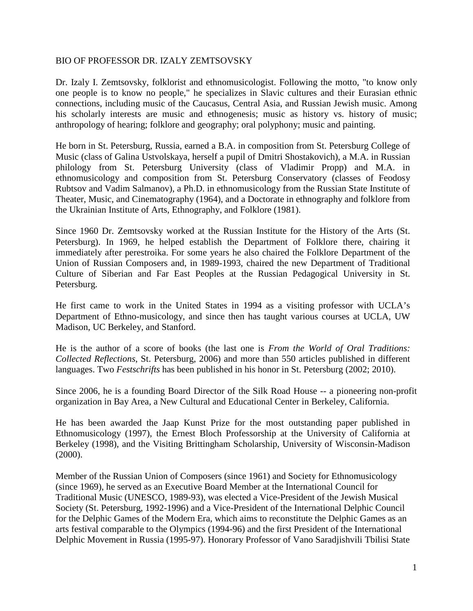## BIO OF PROFESSOR DR. IZALY ZEMTSOVSKY

Dr. Izaly I. Zemtsovsky, folklorist and ethnomusicologist. Following the motto, "to know only one people is to know no people," he specializes in Slavic cultures and their Eurasian ethnic connections, including music of the Caucasus, Central Asia, and Russian Jewish music. Among his scholarly interests are music and ethnogenesis; music as history vs. history of music; anthropology of hearing; folklore and geography; oral polyphony; music and painting.

He born in St. Petersburg, Russia, earned a B.A. in composition from St. Petersburg College of Music (class of Galina Ustvolskaya, herself a pupil of Dmitri Shostakovich), a M.A. in Russian philology from St. Petersburg University (class of Vladimir Propp) and M.A. in ethnomusicology and composition from St. Petersburg Conservatory (classes of Feodosy Rubtsov and Vadim Salmanov), a Ph.D. in ethnomusicology from the Russian State Institute of Theater, Music, and Cinematography (1964), and a Doctorate in ethnography and folklore from the Ukrainian Institute of Arts, Ethnography, and Folklore (1981).

Since 1960 Dr. Zemtsovsky worked at the Russian Institute for the History of the Arts (St. Petersburg). In 1969, he helped establish the Department of Folklore there, chairing it immediately after perestroika. For some years he also chaired the Folklore Department of the Union of Russian Composers and, in 1989-1993, chaired the new Department of Traditional Culture of Siberian and Far East Peoples at the Russian Pedagogical University in St. Petersburg.

He first came to work in the United States in 1994 as a visiting professor with UCLA's Department of Ethno-musicology, and since then has taught various courses at UCLA, UW Madison, UC Berkeley, and Stanford.

He is the author of a score of books (the last one is *From the World of Oral Traditions: Collected Reflections*, St. Petersburg, 2006) and more than 550 articles published in different languages. Two *Festschrifts* has been published in his honor in St. Petersburg (2002; 2010).

Since 2006, he is a founding Board Director of the Silk Road House -- a pioneering non-profit organization in Bay Area, a New Cultural and Educational Center in Berkeley, California.

He has been awarded the Jaap Kunst Prize for the most outstanding paper published in Ethnomusicology (1997), the Ernest Bloch Professorship at the University of California at Berkeley (1998), and the Visiting Brittingham Scholarship, University of Wisconsin-Madison  $(2000).$ 

Member of the Russian Union of Composers (since 1961) and Society for Ethnomusicology (since 1969), he served as an Executive Board Member at the International Council for Traditional Music (UNESCO, 1989-93), was elected a Vice-President of the Jewish Musical Society (St. Petersburg, 1992-1996) and a Vice-President of the International Delphic Council for the Delphic Games of the Modern Era, which aims to reconstitute the Delphic Games as an arts festival comparable to the Olympics (1994-96) and the first President of the International Delphic Movement in Russia (1995-97). Honorary Professor of Vano Saradjishvili Tbilisi State